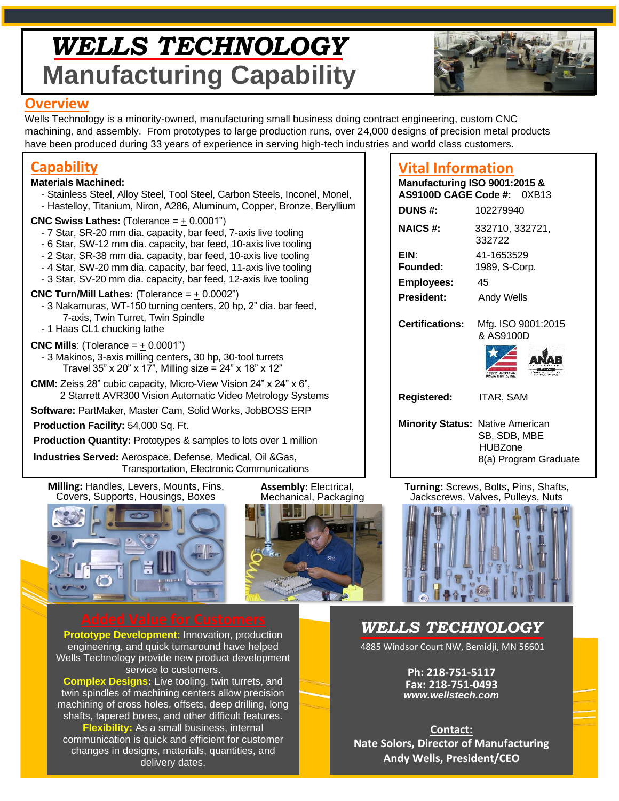# *WELLS TECHNOLOGY* **Manufacturing Capability**



### **Overview**

Wells Technology is a minority-owned, manufacturing small business doing contract engineering, custom CNC machining, and assembly. From prototypes to large production runs, over 24,000 designs of precision metal products have been produced during 33 years of experience in serving high-tech industries and world class customers.

# **Capability**

### **Materials Machined:**

- Stainless Steel, Alloy Steel, Tool Steel, Carbon Steels, Inconel, Monel,
- Hastelloy, Titanium, Niron, A286, Aluminum, Copper, Bronze, Beryllium

### **CNC Swiss Lathes:** (Tolerance = + 0.0001")

- 7 Star, SR-20 mm dia. capacity, bar feed, 7-axis live tooling
- 6 Star, SW-12 mm dia. capacity, bar feed, 10-axis live tooling
- 2 Star, SR-38 mm dia. capacity, bar feed, 10-axis live tooling
- 4 Star, SW-20 mm dia. capacity, bar feed, 11-axis live tooling
- 3 Star, SV-20 mm dia. capacity, bar feed, 12-axis live tooling

### **CNC Turn/Mill Lathes:** (Tolerance  $=$   $\pm$  0.0002")

- 3 Nakamuras, WT-150 turning centers, 20 hp, 2" dia. bar feed, 7-axis, Twin Turret, Twin Spindle
- 1 Haas CL1 chucking lathe

### **CNC Mills**: (Tolerance  $=$   $+$  0.0001")

- 3 Makinos, 3-axis milling centers, 30 hp, 30-tool turrets Travel 35" x 20" x 17", Milling size = 24" x 18" x 12"
- **CMM:** Zeiss 28" cubic capacity, Micro-View Vision 24" x 24" x 6", 2 Starrett AVR300 Vision Automatic Video Metrology Systems

**Software:** PartMaker, Master Cam, Solid Works, JobBOSS ERP

**Production Facility:** 54,000 Sq. Ft.

**Production Quantity:** Prototypes & samples to lots over 1 million

**Industries Served:** Aerospace, Defense, Medical, Oil &Gas, Transportation, Electronic Communications

**Milling:** Handles, Levers, Mounts, Fins, Covers, Supports, Housings, Boxes





**Assembly:** Electrical,

# **Vital Information**

| Manufacturing ISO 9001:2015 &           | AS9100D CAGE Code #: 0XB13                                 |
|-----------------------------------------|------------------------------------------------------------|
| <b>DUNS#:</b>                           | 102279940                                                  |
| <b>NAICS#:</b>                          | 332710, 332721,<br>332722                                  |
| EIN:<br>Founded:                        | 41-1653529<br>1989, S-Corp.                                |
| <b>Employees:</b>                       | 45                                                         |
| <b>President:</b>                       | Andy Wells                                                 |
| <b>Certifications:</b>                  | Mfg. ISO 9001:2015<br>& AS9100D<br><b>REGISTRARS, INC.</b> |
| Registered:                             | <b>ITAR, SAM</b>                                           |
| <b>Minority Status: Native American</b> | SB, SDB, MBE<br>HUBZone<br>8(a) Program Graduate           |

**Turning:** Screws, Bolts, Pins, Shafts, Jackscrews, Valves, Pulleys, Nuts



**Prototype Development:** Innovation, production engineering, and quick turnaround have helped Wells Technology provide new product development service to customers.

**Complex Designs:** Live tooling, twin turrets, and twin spindles of machining centers allow precision machining of cross holes, offsets, deep drilling, long shafts, tapered bores, and other difficult features. **Flexibility:** As a small business, internal communication is quick and efficient for customer changes in designs, materials, quantities, and delivery dates.

# *WELLS TECHNOLOGY*

4885 Windsor Court NW, Bemidji, MN 56601

**Ph: 218-751-5117 Fax: 218-751-0493** *[www.wellstech.com](http://www.wellstech.com/)*

**Contact: Nate Solors, Director of Manufacturing Andy Wells, President/CEO**